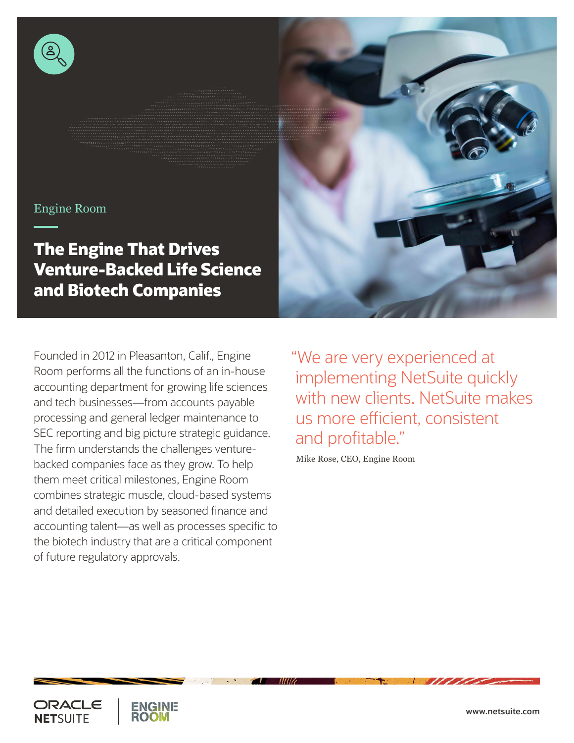

#### Engine Room

**The Engine That Drives Venture-Backed Life Science and Biotech Companies**

Founded in 2012 in Pleasanton, Calif., Engine Room performs all the functions of an in-house accounting department for growing life sciences and tech businesses—from accounts payable processing and general ledger maintenance to SEC reporting and big picture strategic guidance. The firm understands the challenges venturebacked companies face as they grow. To help them meet critical milestones, Engine Room combines strategic muscle, cloud-based systems and detailed execution by seasoned finance and accounting talent—as well as processes specific to the biotech industry that are a critical component of future regulatory approvals.

"We are very experienced at implementing NetSuite quickly with new clients. NetSuite makes us more efficient, consistent and profitable."

Mike Rose, CEO, Engine Room



**<www.netsuite.com>**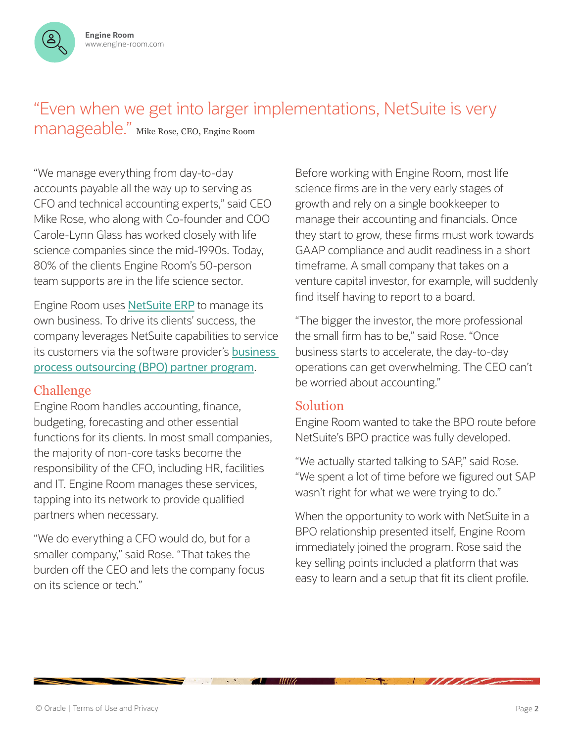

# "Even when we get into larger implementations, NetSuite is very

manageable." Mike Rose, CEO, Engine Room

"We manage everything from day-to-day accounts payable all the way up to serving as CFO and technical accounting experts," said CEO Mike Rose, who along with Co-founder and COO Carole-Lynn Glass has worked closely with life science companies since the mid-1990s. Today, 80% of the clients Engine Room's 50-person team supports are in the life science sector.

Engine Room uses [NetSuite ERP](https://www.netsuite.com/portal/products/erp.shtml) to manage its own business. To drive its clients' success, the company leverages NetSuite capabilities to service its customers via the software provider's [business](https://www.netsuite.com/portal/partners/bpo-partner-program.shtml)  [process outsourcing \(BPO\) partner program](https://www.netsuite.com/portal/partners/bpo-partner-program.shtml).

## Challenge

Engine Room handles accounting, finance, budgeting, forecasting and other essential functions for its clients. In most small companies, the majority of non-core tasks become the responsibility of the CFO, including HR, facilities and IT. Engine Room manages these services, tapping into its network to provide qualified partners when necessary.

"We do everything a CFO would do, but for a smaller company," said Rose. "That takes the burden off the CEO and lets the company focus on its science or tech."

Before working with Engine Room, most life science firms are in the very early stages of growth and rely on a single bookkeeper to manage their accounting and financials. Once they start to grow, these firms must work towards GAAP compliance and audit readiness in a short timeframe. A small company that takes on a venture capital investor, for example, will suddenly find itself having to report to a board.

"The bigger the investor, the more professional the small firm has to be," said Rose. "Once business starts to accelerate, the day-to-day operations can get overwhelming. The CEO can't be worried about accounting."

### Solution

MIG

Engine Room wanted to take the BPO route before NetSuite's BPO practice was fully developed.

"We actually started talking to SAP," said Rose. "We spent a lot of time before we figured out SAP wasn't right for what we were trying to do."

When the opportunity to work with NetSuite in a BPO relationship presented itself, Engine Room immediately joined the program. Rose said the key selling points included a platform that was easy to learn and a setup that fit its client profile.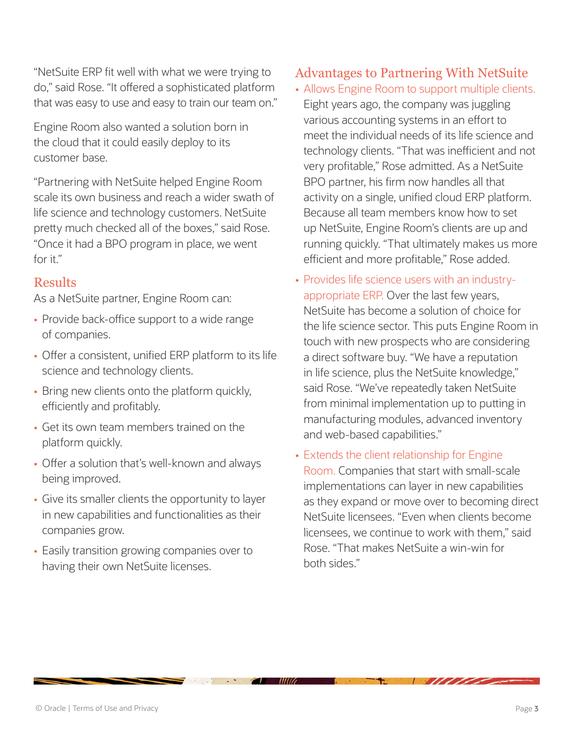"NetSuite ERP fit well with what we were trying to do," said Rose. "It offered a sophisticated platform that was easy to use and easy to train our team on."

Engine Room also wanted a solution born in the cloud that it could easily deploy to its customer base.

"Partnering with NetSuite helped Engine Room scale its own business and reach a wider swath of life science and technology customers. NetSuite pretty much checked all of the boxes," said Rose. "Once it had a BPO program in place, we went for it."

### Results

As a NetSuite partner, Engine Room can:

- Provide back-office support to a wide range of companies.
- Offer a consistent, unified ERP platform to its life science and technology clients.
- Bring new clients onto the platform quickly, efficiently and profitably.
- Get its own team members trained on the platform quickly.
- Offer a solution that's well-known and always being improved.
- Give its smaller clients the opportunity to layer in new capabilities and functionalities as their companies grow.
- Easily transition growing companies over to having their own NetSuite licenses.

## Advantages to Partnering With NetSuite

- Allows Engine Room to support multiple clients. Eight years ago, the company was juggling various accounting systems in an effort to meet the individual needs of its life science and technology clients. "That was inefficient and not very profitable," Rose admitted. As a NetSuite BPO partner, his firm now handles all that activity on a single, unified cloud ERP platform. Because all team members know how to set up NetSuite, Engine Room's clients are up and running quickly. "That ultimately makes us more efficient and more profitable," Rose added.
- Provides life science users with an industryappropriate ERP. Over the last few years, NetSuite has become a solution of choice for the life science sector. This puts Engine Room in touch with new prospects who are considering a direct software buy. "We have a reputation in life science, plus the NetSuite knowledge," said Rose. "We've repeatedly taken NetSuite from minimal implementation up to putting in manufacturing modules, advanced inventory and web-based capabilities."
- Extends the client relationship for Engine Room. Companies that start with small-scale implementations can layer in new capabilities as they expand or move over to becoming direct NetSuite licensees. "Even when clients become licensees, we continue to work with them," said Rose. "That makes NetSuite a win-win for both sides."

MIG